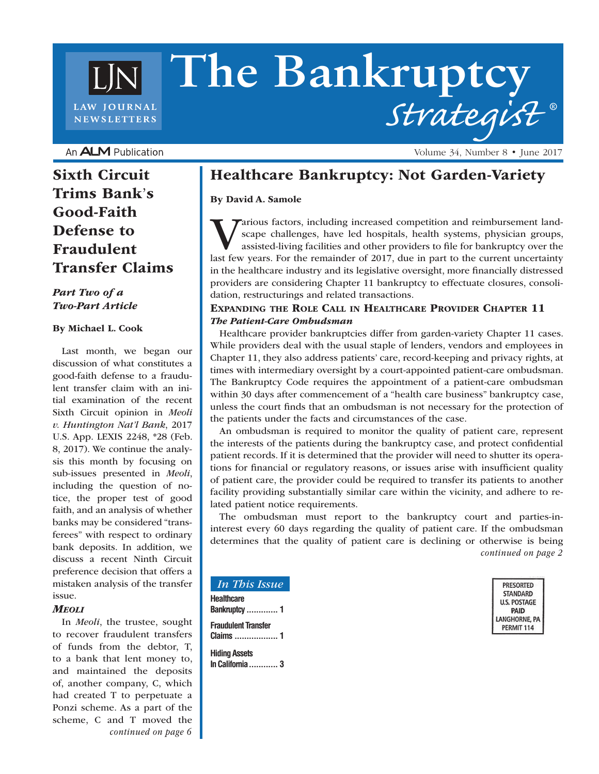# **The Bankruptcy** *Strategist* **®** LAW JOURNAL **NEWSLETTERS**

An **ALM** Publication

Sixth Circuit Trims Bank's Good-Faith Defense to Fraudulent Transfer Claims

#### *Part Two of a Two-Part Article*

#### By Michael L. Cook

Last month, we began our discussion of what constitutes a good-faith defense to a fraudulent transfer claim with an initial examination of the recent Sixth Circuit opinion in *Meoli v. Huntington Nat'l Bank*, 2017 U.S. App. LEXIS 2248, \*28 (Feb. 8, 2017). We continue the analysis this month by focusing on sub-issues presented in *Meoli*, including the question of notice, the proper test of good faith, and an analysis of whether banks may be considered "transferees" with respect to ordinary bank deposits. In addition, we discuss a recent Ninth Circuit preference decision that offers a mistaken analysis of the transfer issue.

#### *Meoli*

In *Meoli*, the trustee, sought to recover fraudulent transfers of funds from the debtor, T, to a bank that lent money to, and maintained the deposits of, another company, C, which had created T to perpetuate a Ponzi scheme. As a part of the scheme, C and T moved the *continued on page 6* Healthcare Bankruptcy: Not Garden-Variety

By David A. Samole

Various factors, including increased competition and reimbursement landscape challenges, have led hospitals, health systems, physician groups, assisted-living facilities and other providers to file for bankruptcy over the last few years. For the remainder of 2017, due in part to the current uncertainty in the healthcare industry and its legislative oversight, more financially distressed providers are considering Chapter 11 bankruptcy to effectuate closures, consolidation, restructurings and related transactions.

#### Expanding the Role Call in Healthcare Provider Chapter 11 *The Patient-Care Ombudsman*

Healthcare provider bankruptcies differ from garden-variety Chapter 11 cases. While providers deal with the usual staple of lenders, vendors and employees in Chapter 11, they also address patients' care, record-keeping and privacy rights, at times with intermediary oversight by a court-appointed patient-care ombudsman. The Bankruptcy Code requires the appointment of a patient-care ombudsman within 30 days after commencement of a "health care business" bankruptcy case, unless the court finds that an ombudsman is not necessary for the protection of the patients under the facts and circumstances of the case.

An ombudsman is required to monitor the quality of patient care, represent the interests of the patients during the bankruptcy case, and protect confidential patient records. If it is determined that the provider will need to shutter its operations for financial or regulatory reasons, or issues arise with insufficient quality of patient care, the provider could be required to transfer its patients to another facility providing substantially similar care within the vicinity, and adhere to related patient notice requirements.

The ombudsman must report to the bankruptcy court and parties-ininterest every 60 days regarding the quality of patient care. If the ombudsman determines that the quality of patient care is declining or otherwise is being *continued on page 2*

| <b>PRESORTED</b>    |
|---------------------|
| <b>STANDARD</b>     |
| <b>U.S. POSTAGE</b> |
| <b>PAID</b>         |
| LANGHORNE, PA       |
| PERMIT 114          |

#### *In This Issue* **Healthcare Bankruptcy ............. 1 Fraudulent Transfer Claims .................. 1 Hiding Assets**

**In California............ 3**

Volume 34, Number 8 • June 2017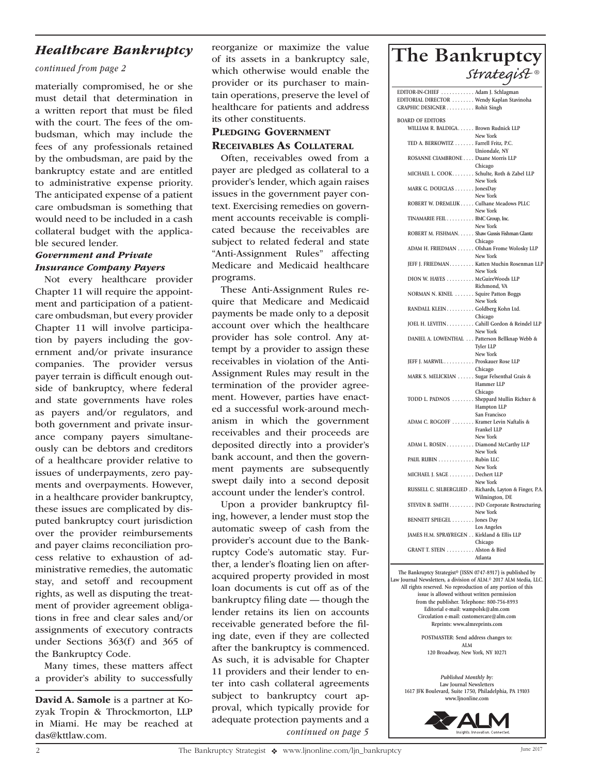### *Healthcare Bankruptcy*

#### *continued from page 2*

materially compromised, he or she must detail that determination in a written report that must be filed with the court. The fees of the ombudsman, which may include the fees of any professionals retained by the ombudsman, are paid by the bankruptcy estate and are entitled to administrative expense priority. The anticipated expense of a patient care ombudsman is something that would need to be included in a cash collateral budget with the applicable secured lender.

#### *Government and Private Insurance Company Payers*

Not every healthcare provider Chapter 11 will require the appointment and participation of a patientcare ombudsman, but every provider Chapter 11 will involve participation by payers including the government and/or private insurance companies. The provider versus payer terrain is difficult enough outside of bankruptcy, where federal and state governments have roles as payers and/or regulators, and both government and private insurance company payers simultaneously can be debtors and creditors of a healthcare provider relative to issues of underpayments, zero payments and overpayments. However, in a healthcare provider bankruptcy, these issues are complicated by disputed bankruptcy court jurisdiction over the provider reimbursements and payer claims reconciliation process relative to exhaustion of administrative remedies, the automatic stay, and setoff and recoupment rights, as well as disputing the treatment of provider agreement obligations in free and clear sales and/or assignments of executory contracts under Sections 363(f) and 365 of the Bankruptcy Code.

Many times, these matters affect a provider's ability to successfully

David A. Samole is a partner at Kozyak Tropin & Throckmorton, LLP in Miami. He may be reached at das@kttlaw.com.

reorganize or maximize the value of its assets in a bankruptcy sale, which otherwise would enable the provider or its purchaser to maintain operations, preserve the level of healthcare for patients and address its other constituents.

## PLEDGING GOVERNMENT

Receivables As Collateral

Often, receivables owed from a payer are pledged as collateral to a provider's lender, which again raises issues in the government payer context. Exercising remedies on government accounts receivable is complicated because the receivables are subject to related federal and state "Anti-Assignment Rules" affecting Medicare and Medicaid healthcare programs.

These Anti-Assignment Rules require that Medicare and Medicaid payments be made only to a deposit account over which the healthcare provider has sole control. Any attempt by a provider to assign these receivables in violation of the Anti-Assignment Rules may result in the termination of the provider agreement. However, parties have enacted a successful work-around mechanism in which the government receivables and their proceeds are deposited directly into a provider's bank account, and then the government payments are subsequently swept daily into a second deposit account under the lender's control.

Upon a provider bankruptcy filing, however, a lender must stop the automatic sweep of cash from the provider's account due to the Bankruptcy Code's automatic stay. Further, a lender's floating lien on afteracquired property provided in most loan documents is cut off as of the bankruptcy filing date — though the lender retains its lien on accounts receivable generated before the filing date, even if they are collected after the bankruptcy is commenced. As such, it is advisable for Chapter 11 providers and their lender to enter into cash collateral agreements subject to bankruptcy court approval, which typically provide for adequate protection payments and a *continued on page 5*

## **The Bankruptcy**  *Strategist ®*

| EDITOR-IN-CHIEF  Adam J. Schlagman            |                                                        |  |  |
|-----------------------------------------------|--------------------------------------------------------|--|--|
| EDITORIAL DIRECTOR  Wendy Kaplan Stavinoha    |                                                        |  |  |
| GRAPHIC DESIGNER Rohit Singh                  |                                                        |  |  |
|                                               |                                                        |  |  |
| <b>BOARD OF EDITORS</b>                       |                                                        |  |  |
| WILLIAM R. BALDIGA. Brown Rudnick LLP         |                                                        |  |  |
|                                               | New York                                               |  |  |
| TED A. BERKOWITZ Farrell Fritz, P.C.          |                                                        |  |  |
|                                               | Uniondale, NY                                          |  |  |
|                                               |                                                        |  |  |
| ROSANNE CIAMBRONE Duane Morris LLP            |                                                        |  |  |
|                                               | Chicago                                                |  |  |
| MICHAEL L. COOK Schulte, Roth & Zabel LLP     |                                                        |  |  |
|                                               | New York                                               |  |  |
| MARK G. DOUGLAS JonesDay                      |                                                        |  |  |
|                                               | New York                                               |  |  |
| ROBERT W. DREMLUK Culhane Meadows PLLC        |                                                        |  |  |
|                                               | New York                                               |  |  |
| TINAMARIE FEIL BMC Group, Inc.                |                                                        |  |  |
|                                               | New York                                               |  |  |
| ROBERT M. FISHMAN. Shaw Gussis Fishman Glantz |                                                        |  |  |
|                                               | Chicago                                                |  |  |
| ADAM H. FRIEDMAN Olshan Frome Wolosky LLP     |                                                        |  |  |
|                                               |                                                        |  |  |
|                                               | New York                                               |  |  |
|                                               | JEFF J. FRIEDMAN. Katten Muchin Rosenman LLP           |  |  |
|                                               | New York                                               |  |  |
| DION W. HAYES McGuireWoods LLP                |                                                        |  |  |
|                                               | Richmond, VA                                           |  |  |
| NORMAN N. KINEL  Squire Patton Boggs          |                                                        |  |  |
|                                               | New York                                               |  |  |
| RANDALL KLEIN Goldberg Kohn Ltd.              |                                                        |  |  |
|                                               | Chicago                                                |  |  |
|                                               | JOEL H. LEVITIN. Cahill Gordon & Reindel LLP           |  |  |
|                                               | New York                                               |  |  |
|                                               |                                                        |  |  |
| DANIEL A. LOWENTHAL Patterson Bellknap Webb & |                                                        |  |  |
|                                               | Tyler LLP                                              |  |  |
|                                               | New York                                               |  |  |
| JEFF J. MARWIL Proskauer Rose LLP             |                                                        |  |  |
|                                               | Chicago                                                |  |  |
| MARK S. MELICKIAN Sugar Felsenthal Grais &    |                                                        |  |  |
|                                               | Hammer LLP                                             |  |  |
|                                               | Chicago                                                |  |  |
| TODD L. PADNOS  Sheppard Mullin Richter &     |                                                        |  |  |
|                                               | Hampton LLP                                            |  |  |
|                                               | San Francisco                                          |  |  |
| ADAM C. ROGOFF  Kramer Levin Naftalis &       |                                                        |  |  |
|                                               | Frankel LLP                                            |  |  |
|                                               | New York                                               |  |  |
|                                               |                                                        |  |  |
| ADAM L. ROSEN Diamond McCarthy LLP            |                                                        |  |  |
|                                               | New York                                               |  |  |
| PAUL RUBIN Rubin LLC                          |                                                        |  |  |
|                                               | New York                                               |  |  |
| MICHAEL J. SAGE Dechert LLP                   |                                                        |  |  |
|                                               | New York                                               |  |  |
|                                               | RUSSELL C. SILBERGLIED Richards, Layton & Finger, P.A. |  |  |
|                                               | Wilmington, DE                                         |  |  |
|                                               | STEVEN B. SMITH JND Corporate Restructuring            |  |  |
|                                               | New York                                               |  |  |
| BENNETT SPIEGEL  Jones Day                    |                                                        |  |  |
|                                               | Los Angeles                                            |  |  |
|                                               |                                                        |  |  |
| JAMES H.M. SPRAYREGEN Kirkland & Ellis LLP    | Chicago                                                |  |  |
|                                               |                                                        |  |  |
| GRANT T. STEIN Alston & Bird                  |                                                        |  |  |
|                                               | Atlanta                                                |  |  |
|                                               |                                                        |  |  |

**The Bankruptcy Strategist® (ISSN 0747-8917) is published by Law Journal Newsletters, a division of ALM.© 2017 ALM Media, LLC. All rights reserved. No reproduction of any portion of this issue is allowed without written permission from the publisher. Telephone: 800-756-8993 Editorial e-mail: wampolsk@alm.com Circulation e-mail: customercare@alm.com Reprints: www.almreprints.com POSTMASTER: Send address changes to: ALM 120 Broadway, New York, NY 10271**

*Published Monthly by:* **Law Journal Newsletters 1617 JFK Boulevard, Suite 1750, Philadelphia, PA 19103 www.ljnonline.com**

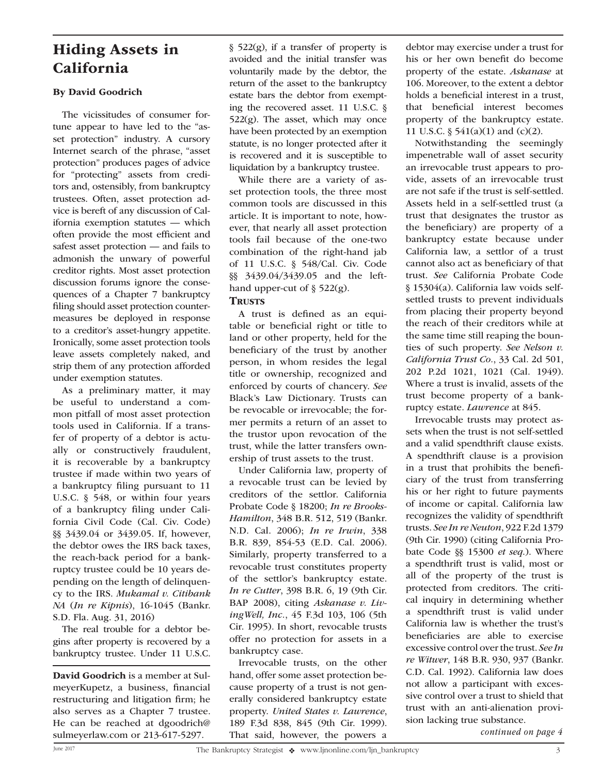## Hiding Assets in California

#### By David Goodrich

The vicissitudes of consumer fortune appear to have led to the "asset protection" industry. A cursory Internet search of the phrase, "asset protection" produces pages of advice for "protecting" assets from creditors and, ostensibly, from bankruptcy trustees. Often, asset protection advice is bereft of any discussion of California exemption statutes — which often provide the most efficient and safest asset protection — and fails to admonish the unwary of powerful creditor rights. Most asset protection discussion forums ignore the consequences of a Chapter 7 bankruptcy filing should asset protection countermeasures be deployed in response to a creditor's asset-hungry appetite. Ironically, some asset protection tools leave assets completely naked, and strip them of any protection afforded under exemption statutes.

As a preliminary matter, it may be useful to understand a common pitfall of most asset protection tools used in California. If a transfer of property of a debtor is actually or constructively fraudulent, it is recoverable by a bankruptcy trustee if made within two years of a bankruptcy filing pursuant to 11 U.S.C. § 548, or within four years of a bankruptcy filing under California Civil Code (Cal. Civ. Code) §§ 3439.04 or 3439.05. If, however, the debtor owes the IRS back taxes, the reach-back period for a bankruptcy trustee could be 10 years depending on the length of delinquency to the IRS. *Mukamal v. Citibank NA* (*In re Kipnis*), 16-1045 (Bankr. S.D. Fla. Aug. 31, 2016)

The real trouble for a debtor begins after property is recovered by a bankruptcy trustee. Under 11 U.S.C.

David Goodrich is a member at SulmeyerKupetz, a business, financial restructuring and litigation firm; he also serves as a Chapter 7 trustee. He can be reached at dgoodrich@ sulmeyerlaw.com or 213-617-5297.

§ 522(g), if a transfer of property is avoided and the initial transfer was voluntarily made by the debtor, the return of the asset to the bankruptcy estate bars the debtor from exempting the recovered asset. 11 U.S.C. §  $522(g)$ . The asset, which may once have been protected by an exemption statute, is no longer protected after it is recovered and it is susceptible to liquidation by a bankruptcy trustee.

While there are a variety of asset protection tools, the three most common tools are discussed in this article. It is important to note, however, that nearly all asset protection tools fail because of the one-two combination of the right-hand jab of 11 U.S.C. § 548/Cal. Civ. Code §§ 3439.04/3439.05 and the lefthand upper-cut of  $\S$  522(g).

#### **TRUSTS**

A trust is defined as an equitable or beneficial right or title to land or other property, held for the beneficiary of the trust by another person, in whom resides the legal title or ownership, recognized and enforced by courts of chancery. *See* Black's Law Dictionary. Trusts can be revocable or irrevocable; the former permits a return of an asset to the trustor upon revocation of the trust, while the latter transfers ownership of trust assets to the trust.

Under California law, property of a revocable trust can be levied by creditors of the settlor. California Probate Code § 18200; *In re Brooks-Hamilton*, 348 B.R. 512, 519 (Bankr. N.D. Cal. 2006); *In re Irwin*, 338 B.R. 839, 854-53 (E.D. Cal. 2006). Similarly, property transferred to a revocable trust constitutes property of the settlor's bankruptcy estate. *In re Cutter*, 398 B.R. 6, 19 (9th Cir. BAP 2008), citing *Askanase v. LivingWell, Inc.*, 45 F.3d 103, 106 (5th Cir. 1995). In short, revocable trusts offer no protection for assets in a bankruptcy case.

Irrevocable trusts, on the other hand, offer some asset protection because property of a trust is not generally considered bankruptcy estate property. *United States v. Lawrence*, 189 F.3d 838, 845 (9th Cir. 1999). That said, however, the powers a

debtor may exercise under a trust for his or her own benefit do become property of the estate. *Askanase* at 106. Moreover, to the extent a debtor holds a beneficial interest in a trust, that beneficial interest becomes property of the bankruptcy estate. 11 U.S.C. § 541(a)(1) and (c)(2).

Notwithstanding the seemingly impenetrable wall of asset security an irrevocable trust appears to provide, assets of an irrevocable trust are not safe if the trust is self-settled. Assets held in a self-settled trust (a trust that designates the trustor as the beneficiary) are property of a bankruptcy estate because under California law, a settlor of a trust cannot also act as beneficiary of that trust. *See* California Probate Code § 15304(a). California law voids selfsettled trusts to prevent individuals from placing their property beyond the reach of their creditors while at the same time still reaping the bounties of such property. *See Nelson v. California Trust Co.*, 33 Cal. 2d 501, 202 P.2d 1021, 1021 (Cal. 1949). Where a trust is invalid, assets of the trust become property of a bankruptcy estate. *Lawrence* at 845.

Irrevocable trusts may protect assets when the trust is not self-settled and a valid spendthrift clause exists. A spendthrift clause is a provision in a trust that prohibits the beneficiary of the trust from transferring his or her right to future payments of income or capital. California law recognizes the validity of spendthrift trusts. *See In re Neuton*, 922 F.2d 1379 (9th Cir. 1990) (citing California Probate Code §§ 15300 *et seq*.). Where a spendthrift trust is valid, most or all of the property of the trust is protected from creditors. The critical inquiry in determining whether a spendthrift trust is valid under California law is whether the trust's beneficiaries are able to exercise excessive control over the trust. *See In re Witwer*, 148 B.R. 930, 937 (Bankr. C.D. Cal. 1992). California law does not allow a participant with excessive control over a trust to shield that trust with an anti-alienation provision lacking true substance.

*continued on page 4*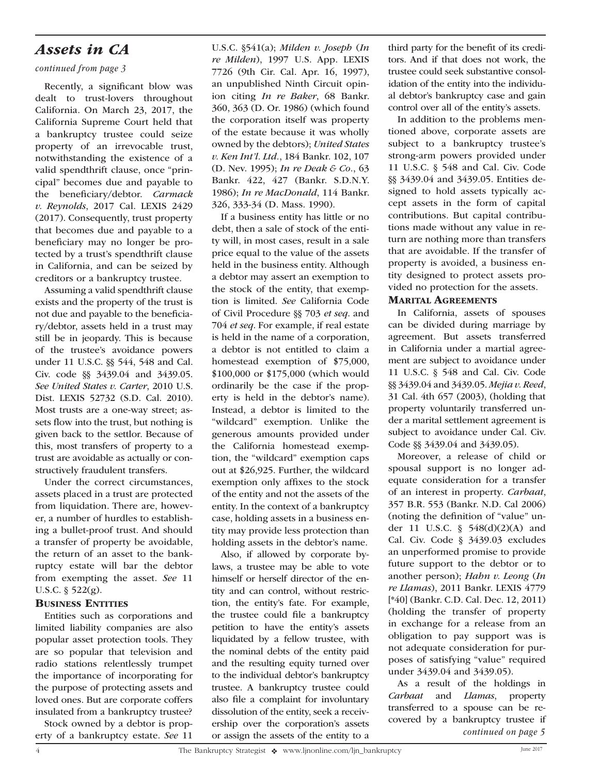## *Assets in CA*

#### *continued from page 3*

Recently, a significant blow was dealt to trust-lovers throughout California. On March 23, 2017, the California Supreme Court held that a bankruptcy trustee could seize property of an irrevocable trust, notwithstanding the existence of a valid spendthrift clause, once "principal" becomes due and payable to the beneficiary/debtor. *Carmack v. Reynolds*, 2017 Cal. LEXIS 2429 (2017). Consequently, trust property that becomes due and payable to a beneficiary may no longer be protected by a trust's spendthrift clause in California, and can be seized by creditors or a bankruptcy trustee.

Assuming a valid spendthrift clause exists and the property of the trust is not due and payable to the beneficiary/debtor, assets held in a trust may still be in jeopardy. This is because of the trustee's avoidance powers under 11 U.S.C. §§ 544, 548 and Cal. Civ. code §§ 3439.04 and 3439.05. *See United States v. Carter*, 2010 U.S. Dist. LEXIS 52732 (S.D. Cal. 2010). Most trusts are a one-way street; assets flow into the trust, but nothing is given back to the settlor. Because of this, most transfers of property to a trust are avoidable as actually or constructively fraudulent transfers.

Under the correct circumstances, assets placed in a trust are protected from liquidation. There are, however, a number of hurdles to establishing a bullet-proof trust. And should a transfer of property be avoidable, the return of an asset to the bankruptcy estate will bar the debtor from exempting the asset. *See* 11 U.S.C. § 522(g).

#### **BUSINESS ENTITIES**

Entities such as corporations and limited liability companies are also popular asset protection tools. They are so popular that television and radio stations relentlessly trumpet the importance of incorporating for the purpose of protecting assets and loved ones. But are corporate coffers insulated from a bankruptcy trustee?

Stock owned by a debtor is property of a bankruptcy estate. *See* 11

U.S.C. §541(a); *Milden v. Joseph* (*In re Milden*), 1997 U.S. App. LEXIS 7726 (9th Cir. Cal. Apr. 16, 1997), an unpublished Ninth Circuit opinion citing *In re Baker*, 68 Bankr. 360, 363 (D. Or. 1986) (which found the corporation itself was property of the estate because it was wholly owned by the debtors); *United States v. Ken Int'l. Ltd.*, 184 Bankr. 102, 107 (D. Nev. 1995); *In re Deak & Co.*, 63 Bankr. 422, 427 (Bankr. S.D.N.Y. 1986); *In re MacDonald*, 114 Bankr. 326, 333-34 (D. Mass. 1990).

If a business entity has little or no debt, then a sale of stock of the entity will, in most cases, result in a sale price equal to the value of the assets held in the business entity. Although a debtor may assert an exemption to the stock of the entity, that exemption is limited. *See* California Code of Civil Procedure §§ 703 *et seq*. and 704 *et seq*. For example, if real estate is held in the name of a corporation, a debtor is not entitled to claim a homestead exemption of \$75,000, \$100,000 or \$175,000 (which would ordinarily be the case if the property is held in the debtor's name). Instead, a debtor is limited to the "wildcard" exemption. Unlike the generous amounts provided under the California homestead exemption, the "wildcard" exemption caps out at \$26,925. Further, the wildcard exemption only affixes to the stock of the entity and not the assets of the entity. In the context of a bankruptcy case, holding assets in a business entity may provide less protection than holding assets in the debtor's name.

Also, if allowed by corporate bylaws, a trustee may be able to vote himself or herself director of the entity and can control, without restriction, the entity's fate. For example, the trustee could file a bankruptcy petition to have the entity's assets liquidated by a fellow trustee, with the nominal debts of the entity paid and the resulting equity turned over to the individual debtor's bankruptcy trustee. A bankruptcy trustee could also file a complaint for involuntary dissolution of the entity, seek a receivership over the corporation's assets or assign the assets of the entity to a third party for the benefit of its creditors. And if that does not work, the trustee could seek substantive consolidation of the entity into the individual debtor's bankruptcy case and gain control over all of the entity's assets.

In addition to the problems mentioned above, corporate assets are subject to a bankruptcy trustee's strong-arm powers provided under 11 U.S.C. § 548 and Cal. Civ. Code §§ 3439.04 and 3439.05. Entities designed to hold assets typically accept assets in the form of capital contributions. But capital contributions made without any value in return are nothing more than transfers that are avoidable. If the transfer of property is avoided, a business entity designed to protect assets provided no protection for the assets.

#### **MARITAL AGREEMENTS**

In California, assets of spouses can be divided during marriage by agreement. But assets transferred in California under a martial agreement are subject to avoidance under 11 U.S.C. § 548 and Cal. Civ. Code §§ 3439.04 and 3439.05. *Mejia v. Reed*, 31 Cal. 4th 657 (2003), (holding that property voluntarily transferred under a marital settlement agreement is subject to avoidance under Cal. Civ. Code §§ 3439.04 and 3439.05).

Moreover, a release of child or spousal support is no longer adequate consideration for a transfer of an interest in property. *Carbaat*, 357 B.R. 553 (Bankr. N.D. Cal 2006) (noting the definition of "value" under 11 U.S.C. § 548(d)(2)(A) and Cal. Civ. Code § 3439.03 excludes an unperformed promise to provide future support to the debtor or to another person); *Hahn v. Leong* (*In re Llamas*), 2011 Bankr. LEXIS 4779 [\*40] (Bankr. C.D. Cal. Dec. 12, 2011) (holding the transfer of property in exchange for a release from an obligation to pay support was is not adequate consideration for purposes of satisfying "value" required under 3439.04 and 3439.05).

As a result of the holdings in *Carbaat* and *Llamas*, property transferred to a spouse can be recovered by a bankruptcy trustee if *continued on page 5*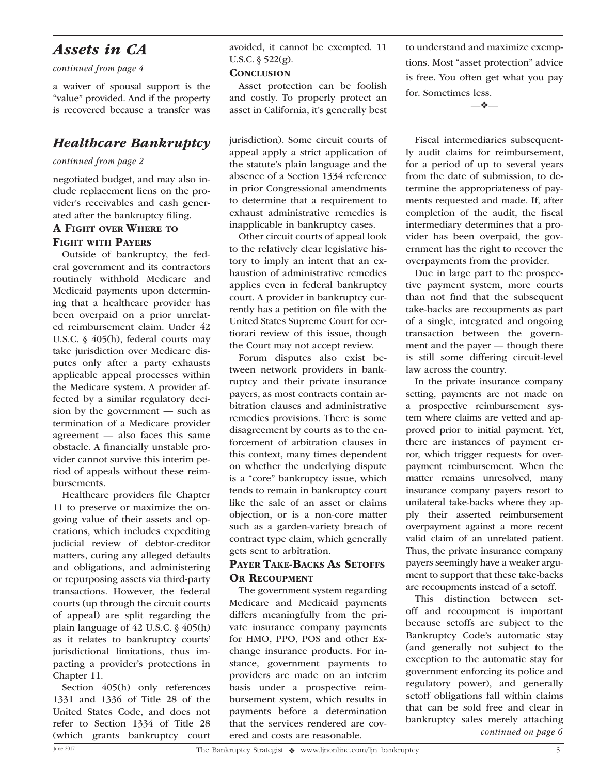### *Assets in CA*

*continued from page 4*

a waiver of spousal support is the "value" provided. And if the property is recovered because a transfer was

### *Healthcare Bankruptcy*

#### *continued from page 2*

negotiated budget, and may also include replacement liens on the provider's receivables and cash generated after the bankruptcy filing.

#### A Fight over Where to Fight with Payers

Outside of bankruptcy, the federal government and its contractors routinely withhold Medicare and Medicaid payments upon determining that a healthcare provider has been overpaid on a prior unrelated reimbursement claim. Under 42 U.S.C. § 405(h), federal courts may take jurisdiction over Medicare disputes only after a party exhausts applicable appeal processes within the Medicare system. A provider affected by a similar regulatory decision by the government — such as termination of a Medicare provider agreement — also faces this same obstacle. A financially unstable provider cannot survive this interim period of appeals without these reimbursements.

Healthcare providers file Chapter 11 to preserve or maximize the ongoing value of their assets and operations, which includes expediting judicial review of debtor-creditor matters, curing any alleged defaults and obligations, and administering or repurposing assets via third-party transactions. However, the federal courts (up through the circuit courts of appeal) are split regarding the plain language of 42 U.S.C. § 405(h) as it relates to bankruptcy courts' jurisdictional limitations, thus impacting a provider's protections in Chapter 11.

Section 405(h) only references 1331 and 1336 of Title 28 of the United States Code, and does not refer to Section 1334 of Title 28 (which grants bankruptcy court avoided, it cannot be exempted. 11 U.S.C. § 522(g).

#### **CONCLUSION**

Asset protection can be foolish and costly. To properly protect an asset in California, it's generally best

jurisdiction). Some circuit courts of appeal apply a strict application of the statute's plain language and the absence of a Section 1334 reference in prior Congressional amendments to determine that a requirement to exhaust administrative remedies is inapplicable in bankruptcy cases.

Other circuit courts of appeal look to the relatively clear legislative history to imply an intent that an exhaustion of administrative remedies applies even in federal bankruptcy court. A provider in bankruptcy currently has a petition on file with the United States Supreme Court for certiorari review of this issue, though the Court may not accept review.

Forum disputes also exist between network providers in bankruptcy and their private insurance payers, as most contracts contain arbitration clauses and administrative remedies provisions. There is some disagreement by courts as to the enforcement of arbitration clauses in this context, many times dependent on whether the underlying dispute is a "core" bankruptcy issue, which tends to remain in bankruptcy court like the sale of an asset or claims objection, or is a non-core matter such as a garden-variety breach of contract type claim, which generally gets sent to arbitration.

#### PAYER TAKE-BACKS AS SETOFFS OR RECOUPMENT

The government system regarding Medicare and Medicaid payments differs meaningfully from the private insurance company payments for HMO, PPO, POS and other Exchange insurance products. For instance, government payments to providers are made on an interim basis under a prospective reimbursement system, which results in payments before a determination that the services rendered are covered and costs are reasonable.

to understand and maximize exemptions. Most "asset protection" advice is free. You often get what you pay for. Sometimes less.

—❖—

Fiscal intermediaries subsequently audit claims for reimbursement, for a period of up to several years from the date of submission, to determine the appropriateness of payments requested and made. If, after completion of the audit, the fiscal intermediary determines that a provider has been overpaid, the government has the right to recover the overpayments from the provider.

Due in large part to the prospective payment system, more courts than not find that the subsequent take-backs are recoupments as part of a single, integrated and ongoing transaction between the government and the payer — though there is still some differing circuit-level law across the country.

In the private insurance company setting, payments are not made on a prospective reimbursement system where claims are vetted and approved prior to initial payment. Yet, there are instances of payment error, which trigger requests for overpayment reimbursement. When the matter remains unresolved, many insurance company payers resort to unilateral take-backs where they apply their asserted reimbursement overpayment against a more recent valid claim of an unrelated patient. Thus, the private insurance company payers seemingly have a weaker argument to support that these take-backs are recoupments instead of a setoff.

This distinction between setoff and recoupment is important because setoffs are subject to the Bankruptcy Code's automatic stay (and generally not subject to the exception to the automatic stay for government enforcing its police and regulatory power), and generally setoff obligations fall within claims that can be sold free and clear in bankruptcy sales merely attaching *continued on page 6*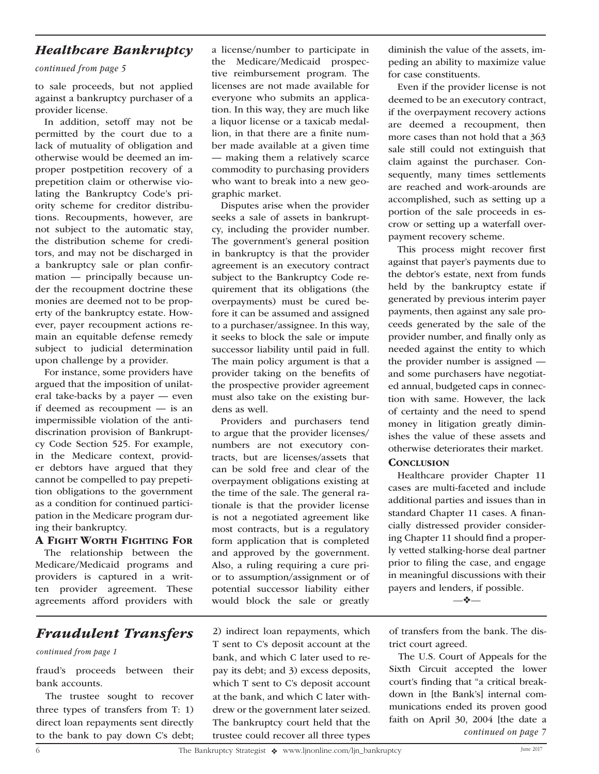### *Healthcare Bankruptcy*

#### *continued from page 5*

to sale proceeds, but not applied against a bankruptcy purchaser of a provider license.

In addition, setoff may not be permitted by the court due to a lack of mutuality of obligation and otherwise would be deemed an improper postpetition recovery of a prepetition claim or otherwise violating the Bankruptcy Code's priority scheme for creditor distributions. Recoupments, however, are not subject to the automatic stay, the distribution scheme for creditors, and may not be discharged in a bankruptcy sale or plan confirmation — principally because under the recoupment doctrine these monies are deemed not to be property of the bankruptcy estate. However, payer recoupment actions remain an equitable defense remedy subject to judicial determination upon challenge by a provider.

For instance, some providers have argued that the imposition of unilateral take-backs by a payer — even if deemed as recoupment — is an impermissible violation of the antidiscrination provision of Bankruptcy Code Section 525. For example, in the Medicare context, provider debtors have argued that they cannot be compelled to pay prepetition obligations to the government as a condition for continued participation in the Medicare program during their bankruptcy.

### A Fight Worth Fighting For

The relationship between the Medicare/Medicaid programs and providers is captured in a written provider agreement. These agreements afford providers with

## *Fraudulent Transfers*

#### *continued from page 1*

fraud's proceeds between their bank accounts.

The trustee sought to recover three types of transfers from T: 1) direct loan repayments sent directly to the bank to pay down C's debt;

a license/number to participate in the Medicare/Medicaid prospective reimbursement program. The licenses are not made available for everyone who submits an application. In this way, they are much like a liquor license or a taxicab medallion, in that there are a finite number made available at a given time — making them a relatively scarce commodity to purchasing providers who want to break into a new geographic market.

Disputes arise when the provider seeks a sale of assets in bankruptcy, including the provider number. The government's general position in bankruptcy is that the provider agreement is an executory contract subject to the Bankruptcy Code requirement that its obligations (the overpayments) must be cured before it can be assumed and assigned to a purchaser/assignee. In this way, it seeks to block the sale or impute successor liability until paid in full. The main policy argument is that a provider taking on the benefits of the prospective provider agreement must also take on the existing burdens as well.

Providers and purchasers tend to argue that the provider licenses/ numbers are not executory contracts, but are licenses/assets that can be sold free and clear of the overpayment obligations existing at the time of the sale. The general rationale is that the provider license is not a negotiated agreement like most contracts, but is a regulatory form application that is completed and approved by the government. Also, a ruling requiring a cure prior to assumption/assignment or of potential successor liability either would block the sale or greatly

2) indirect loan repayments, which T sent to C's deposit account at the bank, and which C later used to repay its debt; and 3) excess deposits, which T sent to C's deposit account at the bank, and which C later withdrew or the government later seized. The bankruptcy court held that the trustee could recover all three types diminish the value of the assets, impeding an ability to maximize value for case constituents.

Even if the provider license is not deemed to be an executory contract, if the overpayment recovery actions are deemed a recoupment, then more cases than not hold that a 363 sale still could not extinguish that claim against the purchaser. Consequently, many times settlements are reached and work-arounds are accomplished, such as setting up a portion of the sale proceeds in escrow or setting up a waterfall overpayment recovery scheme.

This process might recover first against that payer's payments due to the debtor's estate, next from funds held by the bankruptcy estate if generated by previous interim payer payments, then against any sale proceeds generated by the sale of the provider number, and finally only as needed against the entity to which the provider number is assigned and some purchasers have negotiated annual, budgeted caps in connection with same. However, the lack of certainty and the need to spend money in litigation greatly diminishes the value of these assets and otherwise deteriorates their market. **CONCLUSION** 

Healthcare provider Chapter 11 cases are multi-faceted and include additional parties and issues than in standard Chapter 11 cases. A financially distressed provider considering Chapter 11 should find a properly vetted stalking-horse deal partner prior to filing the case, and engage in meaningful discussions with their payers and lenders, if possible.

—❖—

of transfers from the bank. The district court agreed.

The U.S. Court of Appeals for the Sixth Circuit accepted the lower court's finding that "a critical breakdown in [the Bank's] internal communications ended its proven good faith on April 30, 2004 [the date a *continued on page 7*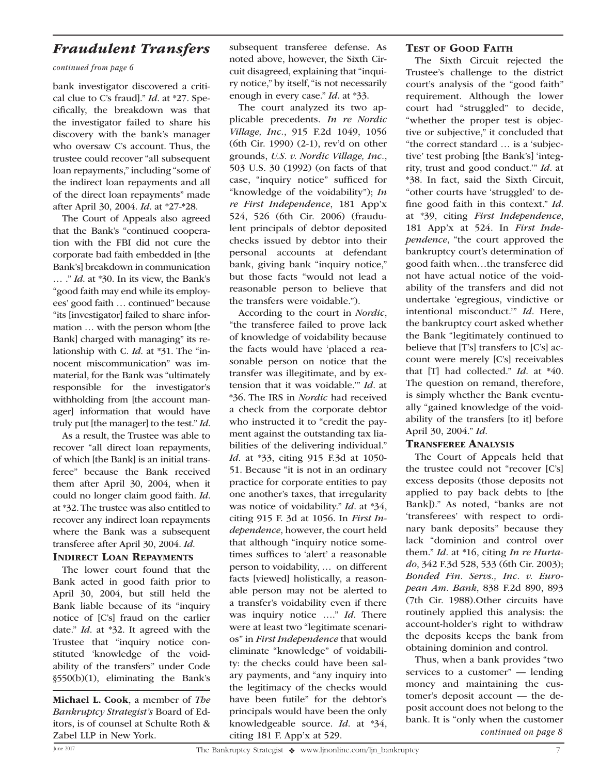### *Fraudulent Transfers*

#### *continued from page 6*

bank investigator discovered a critical clue to C's fraud]." *Id*. at \*27. Specifically, the breakdown was that the investigator failed to share his discovery with the bank's manager who oversaw C's account. Thus, the trustee could recover "all subsequent loan repayments," including "some of the indirect loan repayments and all of the direct loan repayments" made after April 30, 2004. *Id*. at \*27-\*28.

The Court of Appeals also agreed that the Bank's "continued cooperation with the FBI did not cure the corporate bad faith embedded in [the Bank's] breakdown in communication … ." *Id*. at \*30. In its view, the Bank's "good faith may end while its employees' good faith … continued" because "its [investigator] failed to share information … with the person whom [the Bank] charged with managing" its relationship with C. *Id*. at \*31. The "innocent miscommunication" was immaterial, for the Bank was "ultimately responsible for the investigator's withholding from [the account manager] information that would have truly put [the manager] to the test." *Id*.

As a result, the Trustee was able to recover "all direct loan repayments, of which [the Bank] is an initial transferee" because the Bank received them after April 30, 2004, when it could no longer claim good faith. *Id*. at \*32. The trustee was also entitled to recover any indirect loan repayments where the Bank was a subsequent transferee after April 30, 2004. *Id*.

#### Indirect Loan Repayments

The lower court found that the Bank acted in good faith prior to April 30, 2004, but still held the Bank liable because of its "inquiry notice of [C's] fraud on the earlier date." *Id*. at \*32. It agreed with the Trustee that "inquiry notice constituted 'knowledge of the voidability of the transfers" under Code §550(b)(1), eliminating the Bank's

Michael L. Cook, a member of *The Bankruptcy Strategist's* Board of Editors, is of counsel at Schulte Roth & Zabel LLP in New York.

subsequent transferee defense. As noted above, however, the Sixth Circuit disagreed, explaining that "inquiry notice," by itself, "is not necessarily enough in every case." *Id*. at \*33.

The court analyzed its two applicable precedents. *In re Nordic Village, Inc.*, 915 F.2d 1049, 1056 (6th Cir. 1990) (2-1), rev'd on other grounds, *U.S. v. Nordic Village, Inc.*, 503 U.S. 30 (1992) (on facts of that case, "inquiry notice" sufficed for "knowledge of the voidability"); *In re First Independence*, 181 App'x 524, 526 (6th Cir. 2006) (fraudulent principals of debtor deposited checks issued by debtor into their personal accounts at defendant bank, giving bank "inquiry notice," but those facts "would not lead a reasonable person to believe that the transfers were voidable.").

According to the court in *Nordic*, "the transferee failed to prove lack of knowledge of voidability because the facts would have 'placed a reasonable person on notice that the transfer was illegitimate, and by extension that it was voidable.'" *Id*. at \*36. The IRS in *Nordic* had received a check from the corporate debtor who instructed it to "credit the payment against the outstanding tax liabilities of the delivering individual." *Id*. at \*33, citing 915 F.3d at 1050- 51. Because "it is not in an ordinary practice for corporate entities to pay one another's taxes, that irregularity was notice of voidability." *Id*. at \*34, citing 915 F. 3d at 1056. In *First Independence*, however, the court held that although "inquiry notice sometimes suffices to 'alert' a reasonable person to voidability, … on different facts [viewed] holistically, a reasonable person may not be alerted to a transfer's voidability even if there was inquiry notice …." *Id*. There were at least two "legitimate scenarios" in *First Independence* that would eliminate "knowledge" of voidability: the checks could have been salary payments, and "any inquiry into the legitimacy of the checks would have been futile" for the debtor's principals would have been the only knowledgeable source. *Id*. at \*34, citing 181 F. App'x at 529.

#### TEST OF GOOD FAITH

The Sixth Circuit rejected the Trustee's challenge to the district court's analysis of the "good faith" requirement. Although the lower court had "struggled" to decide, "whether the proper test is objective or subjective," it concluded that "the correct standard … is a 'subjective' test probing [the Bank's] 'integrity, trust and good conduct.'" *Id*. at \*38. In fact, said the Sixth Circuit, "other courts have 'struggled' to define good faith in this context." *Id*. at \*39, citing *First Independence*, 181 App'x at 524. In *First Independence*, "the court approved the bankruptcy court's determination of good faith when…the transferee did not have actual notice of the voidability of the transfers and did not undertake 'egregious, vindictive or intentional misconduct.'" *Id*. Here, the bankruptcy court asked whether the Bank "legitimately continued to believe that [T's] transfers to [C's] account were merely [C's] receivables that [T] had collected." *Id*. at \*40. The question on remand, therefore, is simply whether the Bank eventually "gained knowledge of the voidability of the transfers [to it] before April 30, 2004." *Id*.

#### Transferee Analysis

The Court of Appeals held that the trustee could not "recover [C's] excess deposits (those deposits not applied to pay back debts to [the Bank])." As noted, "banks are not 'transferees' with respect to ordinary bank deposits" because they lack "dominion and control over them." *Id*. at \*16, citing *In re Hurtado*, 342 F.3d 528, 533 (6th Cir. 2003); *Bonded Fin. Servs., Inc. v. European Am. Bank*, 838 F.2d 890, 893 (7th Cir. 1988).Other circuits have routinely applied this analysis: the account-holder's right to withdraw the deposits keeps the bank from obtaining dominion and control.

Thus, when a bank provides "two services to a customer" — lending money and maintaining the customer's deposit account — the deposit account does not belong to the bank. It is "only when the customer *continued on page 8*